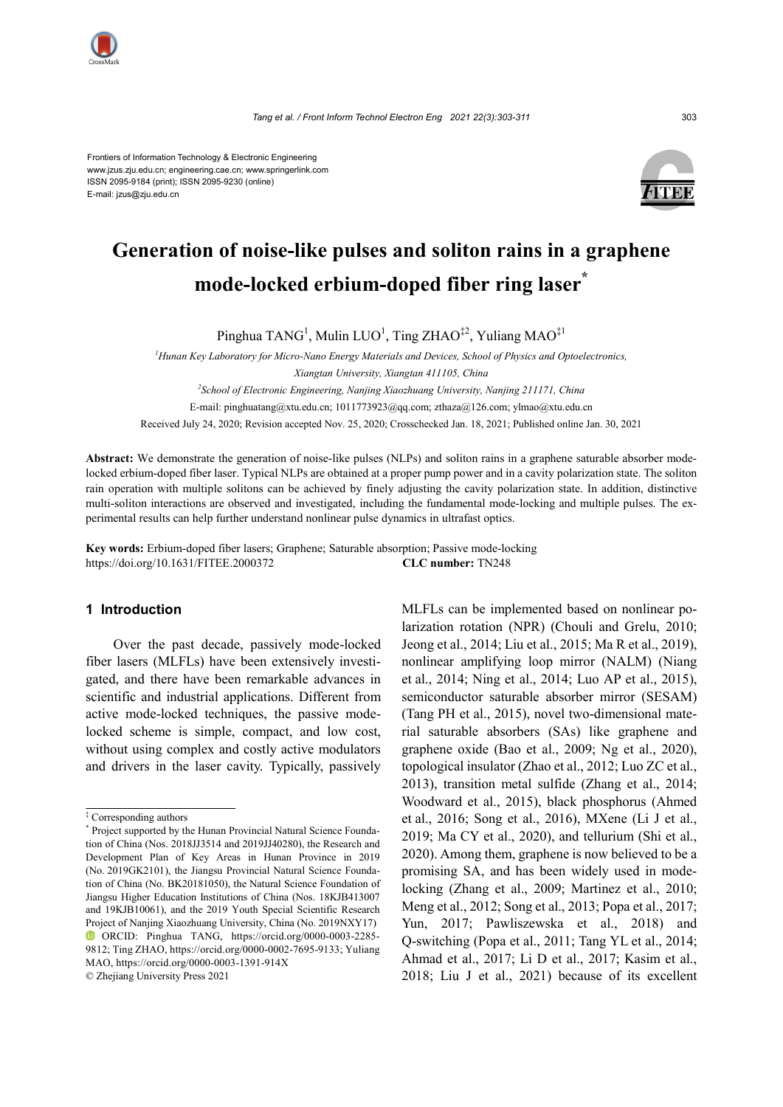

Frontiers of Information Technology & Electronic Engineering www.jzus.zju.edu.cn; engineering.cae.cn; www.springerlink.com ISSN 2095-9184 (print); ISSN 2095-9230 (online) E-mail: jzus@zju.edu.cn



# **Generation of noise-like pulses and soliton rains in a graphene mode-locked erbium-doped fiber ring laser\***

Pinghua TANG<sup>1</sup>, Mulin LUO<sup>1</sup>, Ting ZHAO<sup>‡2</sup>, Yuliang MAO<sup>‡1</sup>

*1 Hunan Key Laboratory for Micro-Nano Energy Materials and Devices, School of Physics and Optoelectronics, Xiangtan University, Xiangtan 411105, China*

*2 School of Electronic Engineering, Nanjing Xiaozhuang University, Nanjing 211171, China*

E-mail: pinghuatang@xtu.edu.cn; 1011773923@qq.com[; zthaza@126.com;](mailto:zthaza@126.com) ylmao@xtu.edu.cn

Received July 24, 2020; Revision accepted Nov. 25, 2020; Crosschecked Jan. 18, 2021; Published online Jan. 30, 2021

**Abstract:** We demonstrate the generation of noise-like pulses (NLPs) and soliton rains in a graphene saturable absorber modelocked erbium-doped fiber laser. Typical NLPs are obtained at a proper pump power and in a cavity polarization state. The soliton rain operation with multiple solitons can be achieved by finely adjusting the cavity polarization state. In addition, distinctive multi-soliton interactions are observed and investigated, including the fundamental mode-locking and multiple pulses. The experimental results can help further understand nonlinear pulse dynamics in ultrafast optics.

**Key words:** Erbium-doped fiber lasers; Graphene; Saturable absorption; Passive mode-locking https://doi.org/10.1631/FITEE.2000372 **CLC number:** TN248

## **1 Introduction**

Over the past decade, passively mode-locked fiber lasers (MLFLs) have been extensively investigated, and there have been remarkable advances in scientific and industrial applications. Different from active mode-locked techniques, the passive modelocked scheme is simple, compact, and low cost, without using complex and costly active modulators and drivers in the laser cavity. Typically, passively

© Zhejiang University Press 2021

MLFLs can be implemented based on nonlinear polarization rotation (NPR) (Chouli and Grelu, 2010; Jeong et al., 2014; Liu et al., 2015; Ma R et al., 2019), nonlinear amplifying loop mirror (NALM) (Niang et al., 2014; Ning et al., 2014; Luo AP et al., 2015), semiconductor saturable absorber mirror (SESAM) (Tang PH et al., 2015), novel two-dimensional material saturable absorbers (SAs) like graphene and graphene oxide (Bao et al., 2009; Ng et al., 2020), topological insulator (Zhao et al., 2012; Luo ZC et al., 2013), transition metal sulfide (Zhang et al., 2014; Woodward et al., 2015), black phosphorus (Ahmed et al., 2016; Song et al., 2016), MXene (Li J et al., 2019; Ma CY et al., 2020), and tellurium (Shi et al., 2020). Among them, graphene is now believed to be a promising SA, and has been widely used in modelocking (Zhang et al., 2009; Martinez et al., 2010; Meng et al., 2012; Song et al., 2013; Popa et al., 2017; Yun, 2017; Pawliszewska et al., 2018) and Q-switching (Popa et al., 2011; Tang YL et al., 2014; Ahmad et al., 2017; Li D et al., 2017; Kasim et al., 2018; Liu J et al., 2021) because of its excellent

<sup>‡</sup> Corresponding authors \*

<sup>\*</sup> Project supported by the Hunan Provincial Natural Science Foundation of China (Nos. 2018JJ3514 and 2019JJ40280), the Research and Development Plan of Key Areas in Hunan Province in 2019 (No. 2019GK2101), the Jiangsu Provincial Natural Science Foundation of China (No. BK20181050), the Natural Science Foundation of Jiangsu Higher Education Institutions of China (Nos. 18KJB413007 and 19KJB10061), and the 2019 Youth Special Scientific Research Project of Nanjing Xiaozhuang University, China (No. 2019NXY17) ORCID: Pinghua TANG, https://orcid.org/0000-0003-2285- 9812; Ting ZHAO, https://orcid.org/0000-0002-7695-9133; Yuliang MAO, https://orcid.org/0000-0003-1391-914X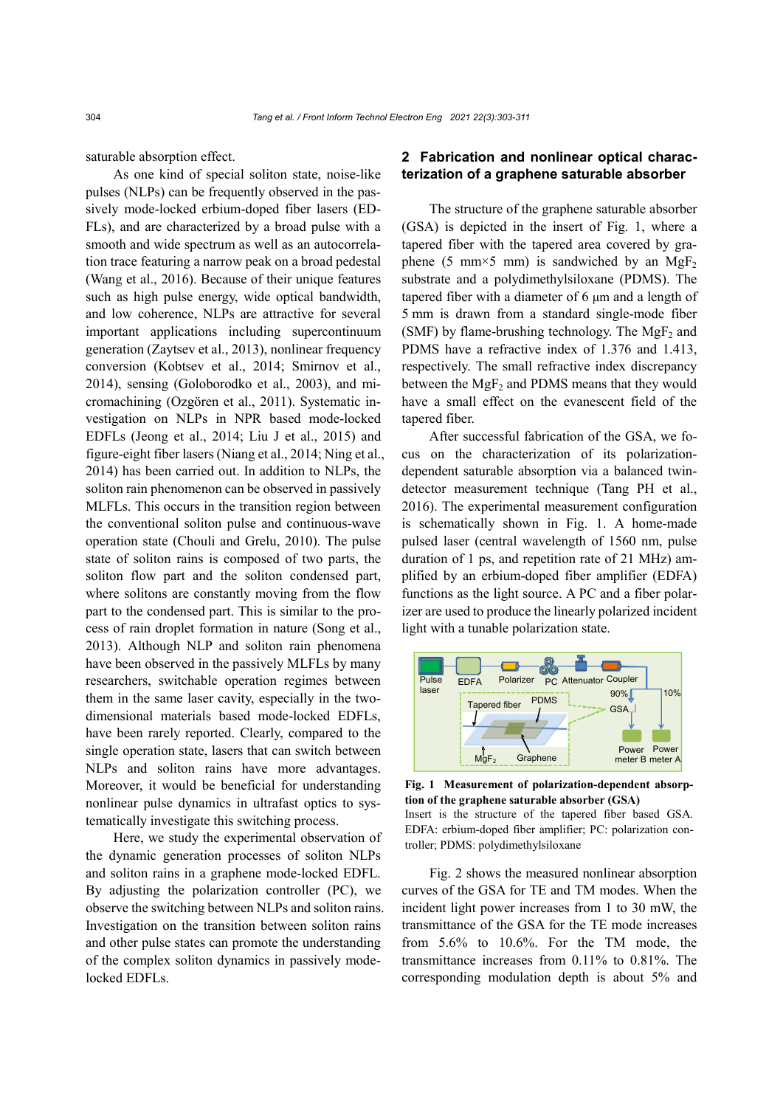saturable absorption effect.

As one kind of special soliton state, noise-like pulses (NLPs) can be frequently observed in the passively mode-locked erbium-doped fiber lasers (ED-FLs), and are characterized by a broad pulse with a smooth and wide spectrum as well as an autocorrelation trace featuring a narrow peak on a broad pedestal (Wang et al., 2016). Because of their unique features such as high pulse energy, wide optical bandwidth, and low coherence, NLPs are attractive for several important applications including supercontinuum generation (Zaytsev et al., 2013), nonlinear frequency conversion (Kobtsev et al., 2014; Smirnov et al., 2014), sensing (Goloborodko et al., 2003), and micromachining (Ozgören et al., 2011). Systematic investigation on NLPs in NPR based mode-locked EDFLs (Jeong et al., 2014; Liu J et al., 2015) and figure-eight fiber lasers (Niang et al., 2014; Ning et al., 2014) has been carried out. In addition to NLPs, the soliton rain phenomenon can be observed in passively MLFLs. This occurs in the transition region between the conventional soliton pulse and continuous-wave operation state (Chouli and Grelu, 2010). The pulse state of soliton rains is composed of two parts, the soliton flow part and the soliton condensed part, where solitons are constantly moving from the flow part to the condensed part. This is similar to the process of rain droplet formation in nature (Song et al., 2013). Although NLP and soliton rain phenomena have been observed in the passively MLFLs by many researchers, switchable operation regimes between them in the same laser cavity, especially in the twodimensional materials based mode-locked EDFLs, have been rarely reported. Clearly, compared to the single operation state, lasers that can switch between NLPs and soliton rains have more advantages. Moreover, it would be beneficial for understanding nonlinear pulse dynamics in ultrafast optics to systematically investigate this switching process.

Here, we study the experimental observation of the dynamic generation processes of soliton NLPs and soliton rains in a graphene mode-locked EDFL. By adjusting the polarization controller (PC), we observe the switching between NLPs and soliton rains. Investigation on the transition between soliton rains and other pulse states can promote the understanding of the complex soliton dynamics in passively modelocked EDFLs.

## **2 Fabrication and nonlinear optical characterization of a graphene saturable absorber**

The structure of the graphene saturable absorber (GSA) is depicted in the insert of Fig. 1, where a tapered fiber with the tapered area covered by graphene (5 mm×5 mm) is sandwiched by an  $MgF_2$ substrate and a polydimethylsiloxane (PDMS). The tapered fiber with a diameter of 6 μm and a length of 5 mm is drawn from a standard single-mode fiber (SMF) by flame-brushing technology. The MgF<sub>2</sub> and PDMS have a refractive index of 1.376 and 1.413, respectively. The small refractive index discrepancy between the  $MgF<sub>2</sub>$  and PDMS means that they would have a small effect on the evanescent field of the tapered fiber.

After successful fabrication of the GSA, we focus on the characterization of its polarizationdependent saturable absorption via a balanced twindetector measurement technique (Tang PH et al., 2016). The experimental measurement configuration is schematically shown in Fig. 1. A home-made pulsed laser (central wavelength of 1560 nm, pulse duration of 1 ps, and repetition rate of 21 MHz) amplified by an erbium-doped fiber amplifier (EDFA) functions as the light source. A PC and a fiber polarizer are used to produce the linearly polarized incident light with a tunable polarization state.



**Fig. 1 Measurement of polarization-dependent absorption of the graphene saturable absorber (GSA)**  Insert is the structure of the tapered fiber based GSA. EDFA: erbium-doped fiber amplifier; PC: polarization controller; PDMS: polydimethylsiloxane

Fig. 2 shows the measured nonlinear absorption curves of the GSA for TE and TM modes. When the incident light power increases from 1 to 30 mW, the transmittance of the GSA for the TE mode increases from 5.6% to 10.6%. For the TM mode, the transmittance increases from 0.11% to 0.81%. The corresponding modulation depth is about 5% and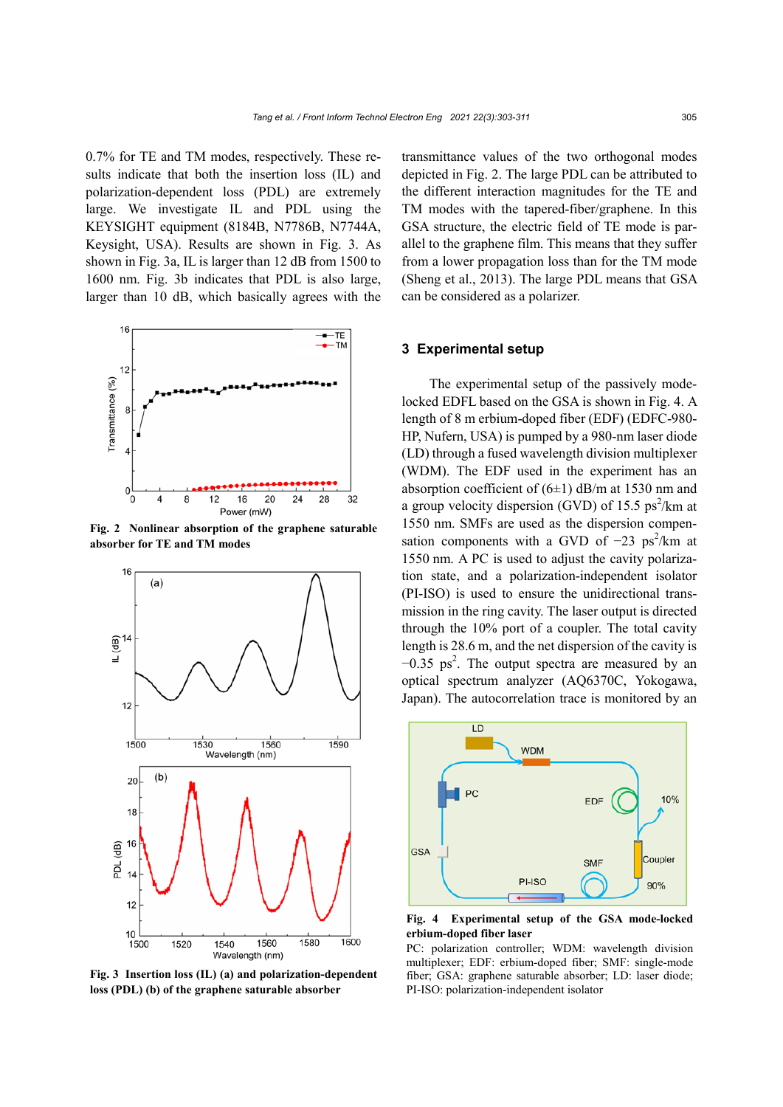0.7% for TE and TM modes, respectively. These results indicate that both the insertion loss (IL) and polarization-dependent loss (PDL) are extremely large. We investigate IL and PDL using the KEYSIGHT equipment (8184B, N7786B, N7744A, Keysight, USA). Results are shown in Fig. 3. As shown in Fig. 3a, IL is larger than 12 dB from 1500 to 1600 nm. Fig. 3b indicates that PDL is also large, larger than 10 dB, which basically agrees with the



**Fig. 2 Nonlinear absorption of the graphene saturable absorber for TE and TM modes**



**Fig. 3 Insertion loss (IL) (a) and polarization-dependent loss (PDL) (b) of the graphene saturable absorber**

transmittance values of the two orthogonal modes depicted in Fig. 2. The large PDL can be attributed to the different interaction magnitudes for the TE and TM modes with the tapered-fiber/graphene. In this GSA structure, the electric field of TE mode is parallel to the graphene film. This means that they suffer from a lower propagation loss than for the TM mode (Sheng et al., 2013). The large PDL means that GSA can be considered as a polarizer.

### **3 Experimental setup**

The experimental setup of the passively modelocked EDFL based on the GSA is shown in Fig. 4. A length of 8 m erbium-doped fiber (EDF) (EDFC-980- HP, Nufern, USA) is pumped by a 980-nm laser diode (LD) through a fused wavelength division multiplexer (WDM). The EDF used in the experiment has an absorption coefficient of  $(6±1)$  dB/m at 1530 nm and a group velocity dispersion (GVD) of 15.5  $ps^2/km$  at 1550 nm. SMFs are used as the dispersion compensation components with a GVD of  $-23$  ps<sup>2</sup>/km at 1550 nm. A PC is used to adjust the cavity polarization state, and a polarization-independent isolator (PI-ISO) is used to ensure the unidirectional transmission in the ring cavity. The laser output is directed through the 10% port of a coupler. The total cavity length is 28.6 m, and the net dispersion of the cavity is  $-0.35$  ps<sup>2</sup>. The output spectra are measured by an optical spectrum analyzer (AQ6370C, Yokogawa, Japan). The autocorrelation trace is monitored by an



**Fig. 4 Experimental setup of the GSA mode-locked erbium-doped fiber laser**

PC: polarization controller; WDM: wavelength division multiplexer; EDF: erbium-doped fiber; SMF: single-mode fiber; GSA: graphene saturable absorber; LD: laser diode; PI-ISO: polarization-independent isolator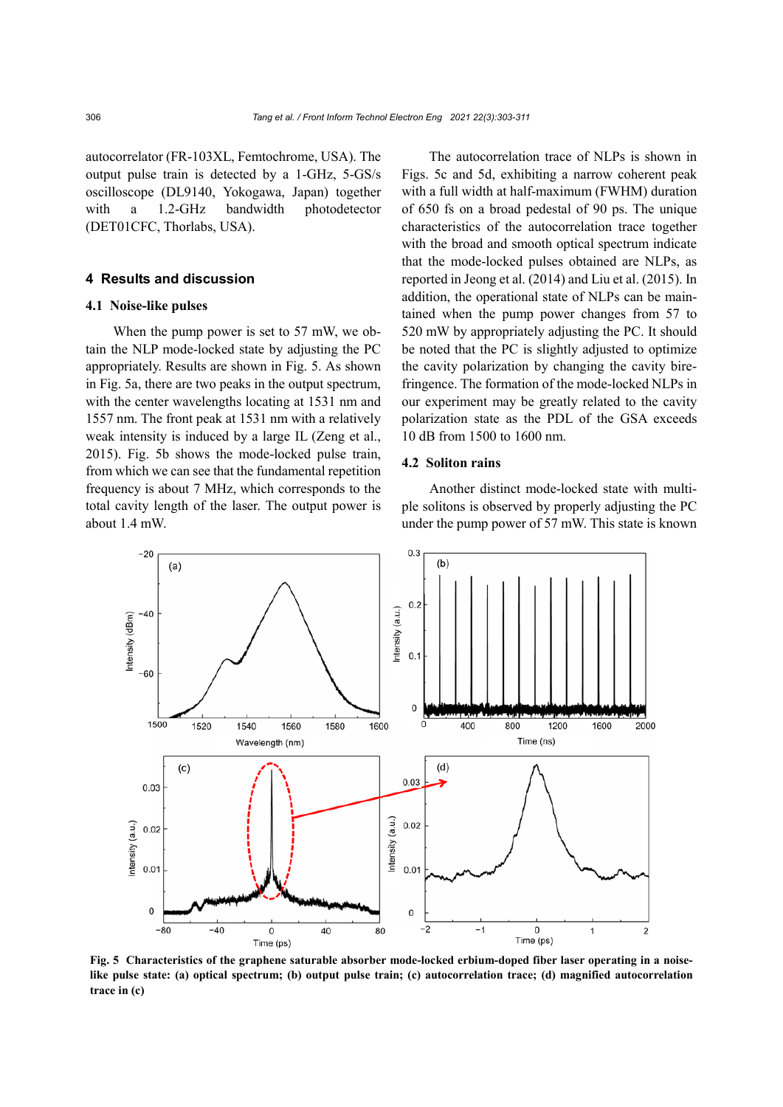autocorrelator (FR-103XL, Femtochrome, USA). The output pulse train is detected by a 1-GHz, 5-GS/s oscilloscope (DL9140, Yokogawa, Japan) together with a 1.2-GHz bandwidth photodetector (DET01CFC, Thorlabs, USA).

## **4 Results and discussion**

## **4.1 Noise-like pulses**

When the pump power is set to 57 mW, we obtain the NLP mode-locked state by adjusting the PC appropriately. Results are shown in Fig. 5. As shown in Fig. 5a, there are two peaks in the output spectrum, with the center wavelengths locating at 1531 nm and 1557 nm. The front peak at 1531 nm with a relatively weak intensity is induced by a large IL (Zeng et al., 2015). Fig. 5b shows the mode-locked pulse train, from which we can see that the fundamental repetition frequency is about 7 MHz, which corresponds to the total cavity length of the laser. The output power is about 1.4 mW.

The autocorrelation trace of NLPs is shown in Figs. 5c and 5d, exhibiting a narrow coherent peak with a full width at half-maximum (FWHM) duration of 650 fs on a broad pedestal of 90 ps. The unique characteristics of the autocorrelation trace together with the broad and smooth optical spectrum indicate that the mode-locked pulses obtained are NLPs, as reported in Jeong et al. (2014) and Liu et al. (2015). In addition, the operational state of NLPs can be maintained when the pump power changes from 57 to 520 mW by appropriately adjusting the PC. It should be noted that the PC is slightly adjusted to optimize the cavity polarization by changing the cavity birefringence. The formation of the mode-locked NLPs in our experiment may be greatly related to the cavity polarization state as the PDL of the GSA exceeds 10 dB from 1500 to 1600 nm.

## **4.2 Soliton rains**

Another distinct mode-locked state with multiple solitons is observed by properly adjusting the PC under the pump power of 57 mW. This state is known



**Fig. 5 Characteristics of the graphene saturable absorber mode-locked erbium-doped fiber laser operating in a noiselike pulse state: (a) optical spectrum; (b) output pulse train; (c) autocorrelation trace; (d) magnified autocorrelation trace in (c)**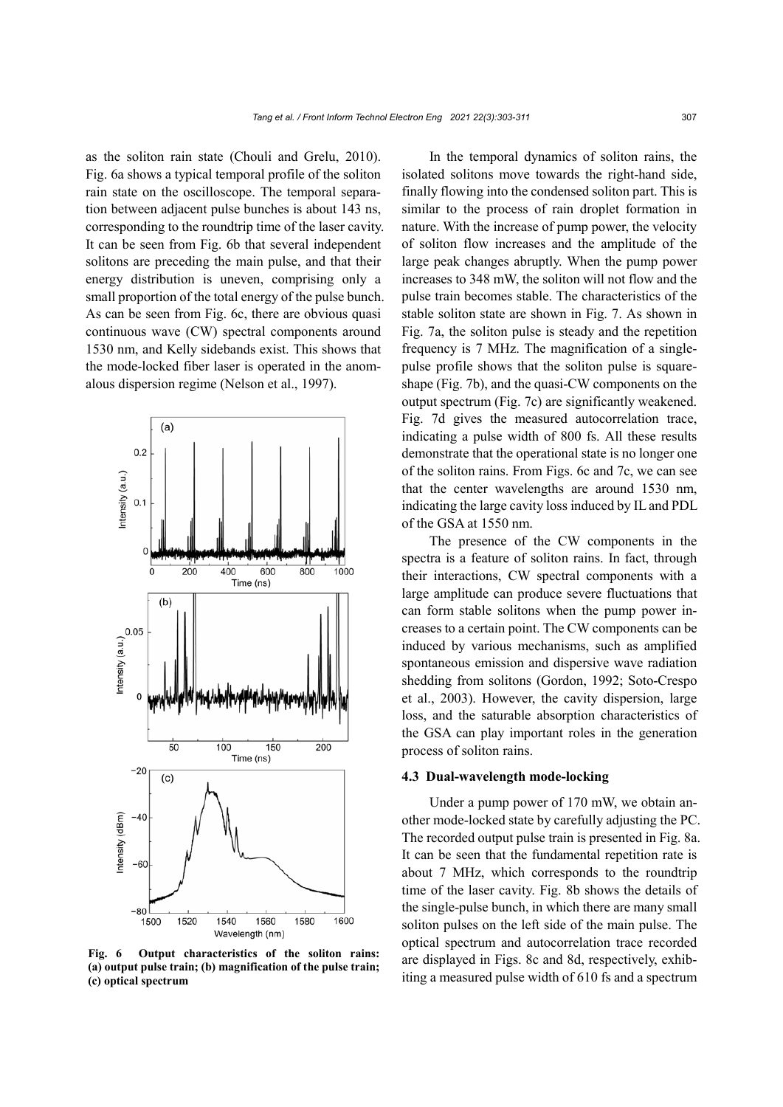as the soliton rain state (Chouli and Grelu, 2010). Fig. 6a shows a typical temporal profile of the soliton rain state on the oscilloscope. The temporal separation between adjacent pulse bunches is about 143 ns, corresponding to the roundtrip time of the laser cavity. It can be seen from Fig. 6b that several independent solitons are preceding the main pulse, and that their energy distribution is uneven, comprising only a small proportion of the total energy of the pulse bunch. As can be seen from Fig. 6c, there are obvious quasi continuous wave (CW) spectral components around 1530 nm, and Kelly sidebands exist. This shows that the mode-locked fiber laser is operated in the anomalous dispersion regime (Nelson et al., 1997).



**Fig. 6 Output characteristics of the soliton rains: (a) output pulse train; (b) magnification of the pulse train; (c) optical spectrum**

In the temporal dynamics of soliton rains, the isolated solitons move towards the right-hand side, finally flowing into the condensed soliton part. This is similar to the process of rain droplet formation in nature. With the increase of pump power, the velocity of soliton flow increases and the amplitude of the large peak changes abruptly. When the pump power increases to 348 mW, the soliton will not flow and the pulse train becomes stable. The characteristics of the stable soliton state are shown in Fig. 7. As shown in Fig. 7a, the soliton pulse is steady and the repetition frequency is 7 MHz. The magnification of a singlepulse profile shows that the soliton pulse is squareshape (Fig. 7b), and the quasi-CW components on the output spectrum (Fig. 7c) are significantly weakened. Fig. 7d gives the measured autocorrelation trace, indicating a pulse width of 800 fs. All these results demonstrate that the operational state is no longer one of the soliton rains. From Figs. 6c and 7c, we can see that the center wavelengths are around 1530 nm, indicating the large cavity loss induced by IL and PDL of the GSA at 1550 nm.

The presence of the CW components in the spectra is a feature of soliton rains. In fact, through their interactions, CW spectral components with a large amplitude can produce severe fluctuations that can form stable solitons when the pump power increases to a certain point. The CW components can be induced by various mechanisms, such as amplified spontaneous emission and dispersive wave radiation shedding from solitons (Gordon, 1992; Soto-Crespo et al., 2003). However, the cavity dispersion, large loss, and the saturable absorption characteristics of the GSA can play important roles in the generation process of soliton rains.

#### **4.3 Dual-wavelength mode-locking**

Under a pump power of 170 mW, we obtain another mode-locked state by carefully adjusting the PC. The recorded output pulse train is presented in Fig. 8a. It can be seen that the fundamental repetition rate is about 7 MHz, which corresponds to the roundtrip time of the laser cavity. Fig. 8b shows the details of the single-pulse bunch, in which there are many small soliton pulses on the left side of the main pulse. The optical spectrum and autocorrelation trace recorded are displayed in Figs. 8c and 8d, respectively, exhibiting a measured pulse width of 610 fs and a spectrum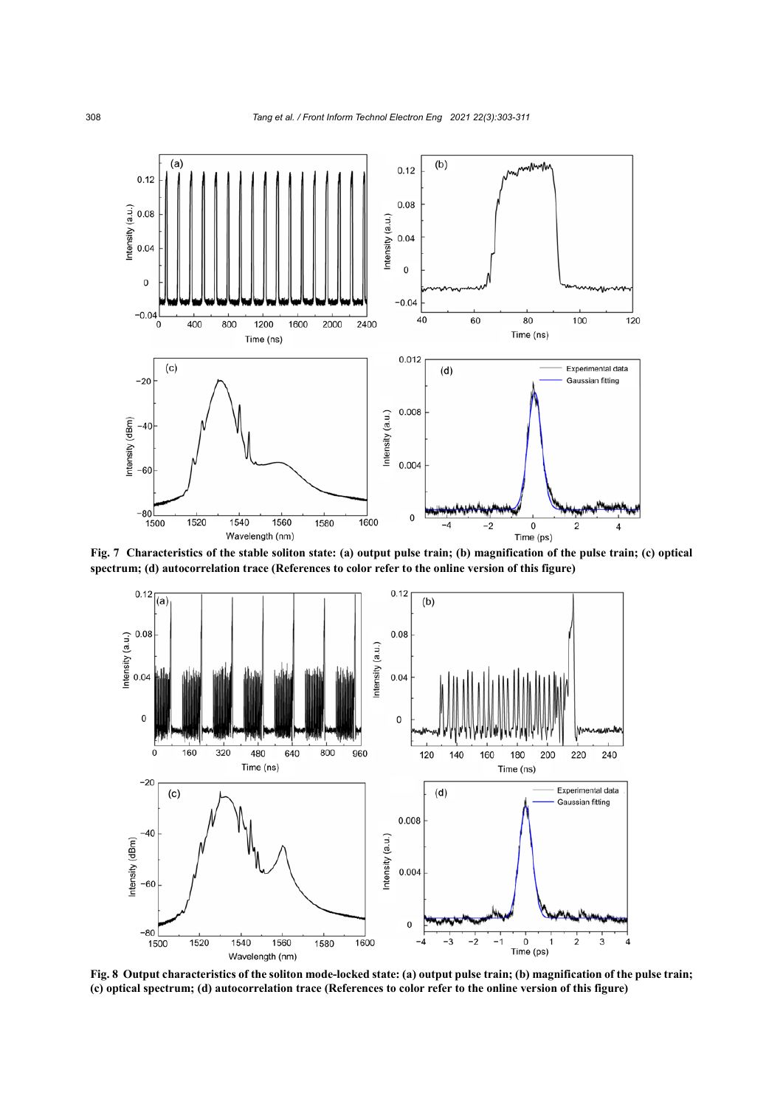

**Fig. 7 Characteristics of the stable soliton state: (a) output pulse train; (b) magnification of the pulse train; (c) optical spectrum; (d) autocorrelation trace (References to color refer to the online version of this figure)**



**Fig. 8 Output characteristics of the soliton mode-locked state: (a) output pulse train; (b) magnification of the pulse train; (c) optical spectrum; (d) autocorrelation trace (References to color refer to the online version of this figure)**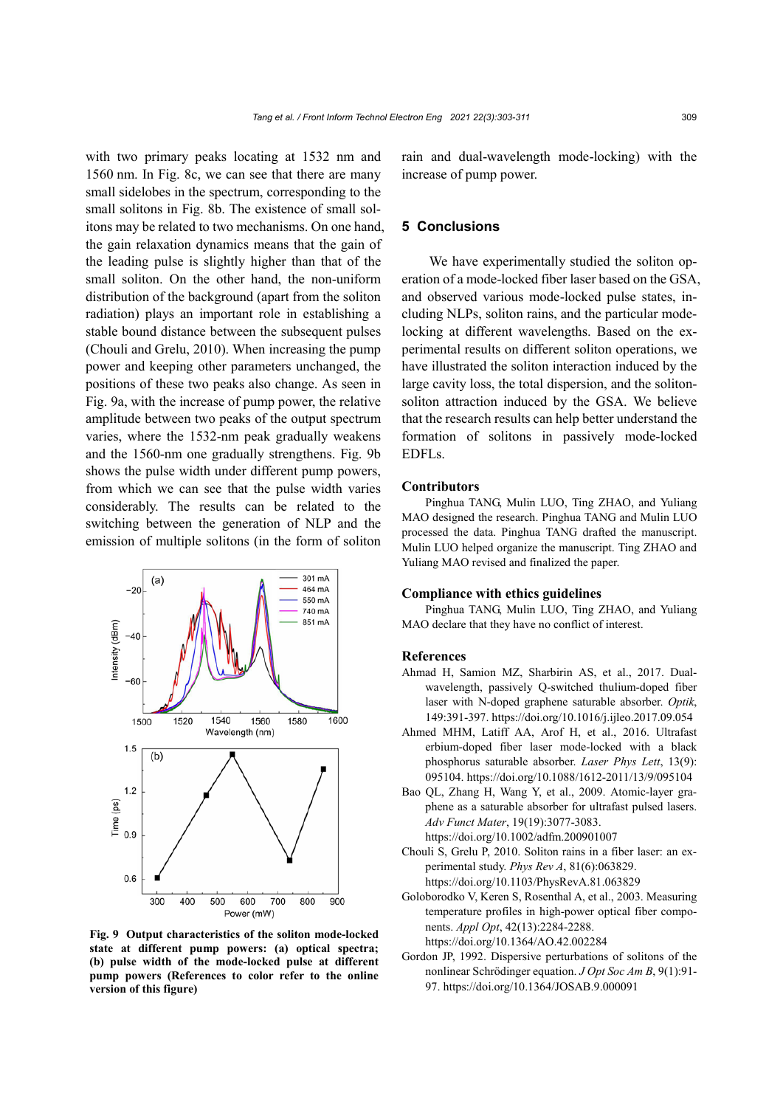with two primary peaks locating at 1532 nm and 1560 nm. In Fig. 8c, we can see that there are many small sidelobes in the spectrum, corresponding to the small solitons in Fig. 8b. The existence of small solitons may be related to two mechanisms. On one hand, the gain relaxation dynamics means that the gain of the leading pulse is slightly higher than that of the small soliton. On the other hand, the non-uniform distribution of the background (apart from the soliton radiation) plays an important role in establishing a stable bound distance between the subsequent pulses (Chouli and Grelu, 2010). When increasing the pump power and keeping other parameters unchanged, the positions of these two peaks also change. As seen in Fig. 9a, with the increase of pump power, the relative amplitude between two peaks of the output spectrum varies, where the 1532-nm peak gradually weakens and the 1560-nm one gradually strengthens. Fig. 9b shows the pulse width under different pump powers, from which we can see that the pulse width varies considerably. The results can be related to the switching between the generation of NLP and the emission of multiple solitons (in the form of soliton



**Fig. 9 Output characteristics of the soliton mode-locked state at different pump powers: (a) optical spectra; (b) pulse width of the mode-locked pulse at different pump powers (References to color refer to the online version of this figure)**

rain and dual-wavelength mode-locking) with the increase of pump power.

## **5 Conclusions**

We have experimentally studied the soliton operation of a mode-locked fiber laser based on the GSA, and observed various mode-locked pulse states, including NLPs, soliton rains, and the particular modelocking at different wavelengths. Based on the experimental results on different soliton operations, we have illustrated the soliton interaction induced by the large cavity loss, the total dispersion, and the solitonsoliton attraction induced by the GSA. We believe that the research results can help better understand the formation of solitons in passively mode-locked EDFLs.

#### **Contributors**

Pinghua TANG, Mulin LUO, Ting ZHAO, and Yuliang MAO designed the research. Pinghua TANG and Mulin LUO processed the data. Pinghua TANG drafted the manuscript. Mulin LUO helped organize the manuscript. Ting ZHAO and Yuliang MAO revised and finalized the paper.

#### **Compliance with ethics guidelines**

Pinghua TANG, Mulin LUO, Ting ZHAO, and Yuliang MAO declare that they have no conflict of interest.

#### **References**

- Ahmad H, Samion MZ, Sharbirin AS, et al., 2017. Dualwavelength, passively Q-switched thulium-doped fiber laser with N-doped graphene saturable absorber. *Optik*, 149:391-397. https://doi.org/10.1016/j.ijleo.2017.09.054
- Ahmed MHM, Latiff AA, Arof H, et al., 2016. Ultrafast erbium-doped fiber laser mode-locked with a black phosphorus saturable absorber. *Laser Phys Lett*, 13(9): 095104.<https://doi.org/10.1088/1612-2011/13/9/095104>
- Bao QL, Zhang H, Wang Y, et al., 2009. Atomic-layer graphene as a saturable absorber for ultrafast pulsed lasers. *Adv Funct Mater*, 19(19):3077-3083. https://doi.org/10.1002/adfm.200901007
- Chouli S, Grelu P, 2010. Soliton rains in a fiber laser: an experimental study. *Phys Rev A*, 81(6):063829.
	- https://doi.org/10.1103/PhysRevA.81.063829
- Goloborodko V, Keren S, Rosenthal A, et al., 2003. Measuring temperature profiles in high-power optical fiber components. *Appl Opt*, 42(13):2284-2288. https://doi.org/10.1364/AO.42.002284
- Gordon JP, 1992. Dispersive perturbations of solitons of the nonlinear Schrödinger equation. *J Opt Soc Am B*, 9(1):91- 97. https://doi.org/10.1364/JOSAB.9.000091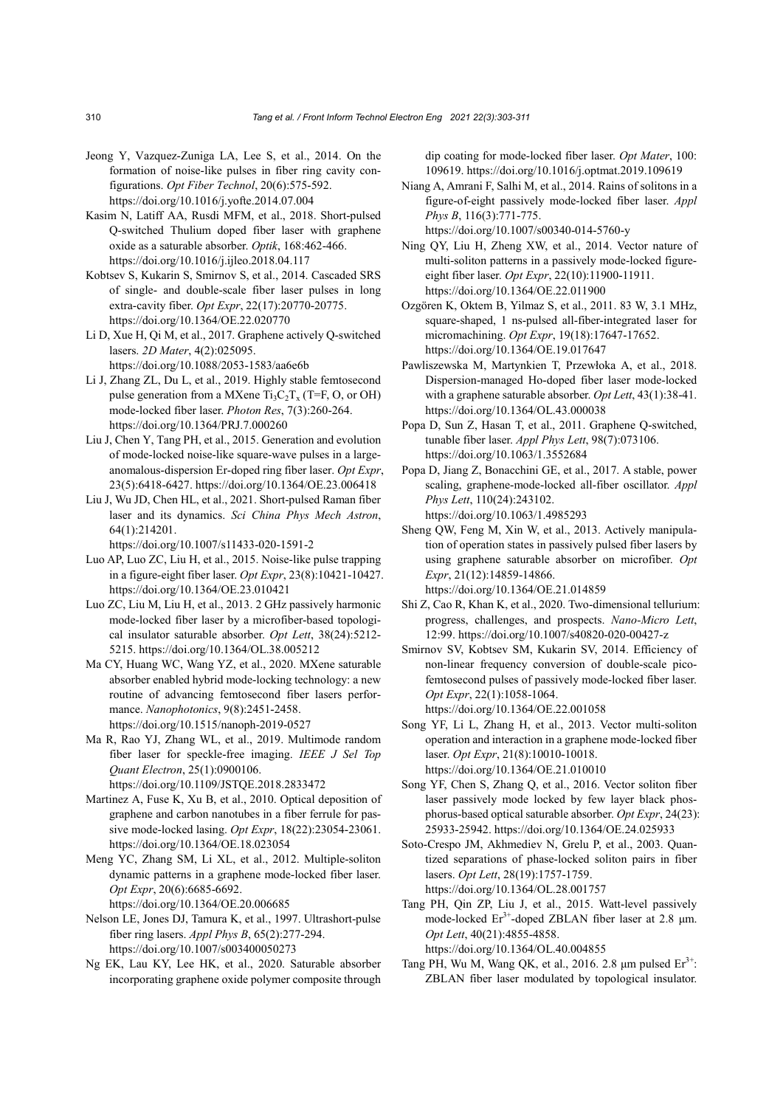- Jeong Y, Vazquez-Zuniga LA, Lee S, et al., 2014. On the formation of noise-like pulses in fiber ring cavity configurations. *Opt Fiber Technol*, 20(6):575-592. https://doi.org/10.1016/j.yofte.2014.07.004
- Kasim N, Latiff AA, Rusdi MFM, et al., 2018. Short-pulsed Q-switched Thulium doped fiber laser with graphene oxide as a saturable absorber. *Optik*, 168:462-466. https://doi.org/10.1016/j.ijleo.2018.04.117
- Kobtsev S, Kukarin S, Smirnov S, et al., 2014. Cascaded SRS of single- and double-scale fiber laser pulses in long extra-cavity fiber. *Opt Expr*, 22(17):20770-20775. https://doi.org/10.1364/OE.22.020770
- Li D, Xue H, Qi M, et al., 2017. Graphene actively Q-switched lasers. *2D Mater*, 4(2):025095. https://doi.org/10.1088/2053-1583/aa6e6b
- Li J, Zhang ZL, Du L, et al., 2019. Highly stable femtosecond pulse generation from a MXene  $Ti_3C_2T_x$  (T=F, O, or OH) mode-locked fiber laser. *Photon Res*, 7(3):260-264. https://doi.org/10.1364/PRJ.7.000260
- Liu J, Chen Y, Tang PH, et al., 2015. Generation and evolution of mode-locked noise-like square-wave pulses in a largeanomalous-dispersion Er-doped ring fiber laser. *Opt Expr*, 23(5):6418-6427. https://doi.org/10.1364/OE.23.006418
- Liu J, Wu JD, Chen HL, et al., 2021. Short-pulsed Raman fiber laser and its dynamics. *Sci China Phys Mech Astron*, 64(1):214201.

https://doi.org/10.1007/s11433-020-1591-2

- Luo AP, Luo ZC, Liu H, et al., 2015. Noise-like pulse trapping in a figure-eight fiber laser. *Opt Expr*, 23(8):10421-10427. https://doi.org/10.1364/OE.23.010421
- Luo ZC, Liu M, Liu H, et al., 2013. 2 GHz passively harmonic mode-locked fiber laser by a microfiber-based topological insulator saturable absorber. *Opt Lett*, 38(24):5212- 5215. https://doi.org/10.1364/OL.38.005212
- Ma CY, Huang WC, Wang YZ, et al., 2020. MXene saturable absorber enabled hybrid mode-locking technology: a new routine of advancing femtosecond fiber lasers performance. *Nanophotonics*, 9(8):2451-2458. https://doi.org/10.1515/nanoph-2019-0527
- Ma R, Rao YJ, Zhang WL, et al., 2019. Multimode random fiber laser for speckle-free imaging. *IEEE J Sel Top Quant Electron*, 25(1):0900106. https://doi.org/10.1109/JSTQE.2018.2833472
- Martinez A, Fuse K, Xu B, et al., 2010. Optical deposition of graphene and carbon nanotubes in a fiber ferrule for passive mode-locked lasing. *Opt Expr*, 18(22):23054-23061. https://doi.org/10.1364/OE.18.023054
- Meng YC, Zhang SM, Li XL, et al., 2012. Multiple-soliton dynamic patterns in a graphene mode-locked fiber laser. *Opt Expr*, 20(6):6685-6692.

https://doi.org/10.1364/OE.20.006685

- Nelson LE, Jones DJ, Tamura K, et al., 1997. Ultrashort-pulse fiber ring lasers. *Appl Phys B*, 65(2):277-294. https://doi.org/10.1007/s003400050273
- Ng EK, Lau KY, Lee HK, et al., 2020. Saturable absorber incorporating graphene oxide polymer composite through

dip coating for mode-locked fiber laser. *Opt Mater*, 100: 109619. https://doi.org/10.1016/j.optmat.2019.109619

- Niang A, Amrani F, Salhi M, et al., 2014. Rains of solitons in a figure-of-eight passively mode-locked fiber laser. *Appl Phys B*, 116(3):771-775. https://doi.org/10.1007/s00340-014-5760-y
- Ning QY, Liu H, Zheng XW, et al., 2014. Vector nature of multi-soliton patterns in a passively mode-locked figureeight fiber laser. *Opt Expr*, 22(10):11900-11911. https://doi.org/10.1364/OE.22.011900
- Ozgören K, Oktem B, Yilmaz S, et al., 2011. 83 W, 3.1 MHz, square-shaped, 1 ns-pulsed all-fiber-integrated laser for micromachining. *Opt Expr*, 19(18):17647-17652. https://doi.org/10.1364/OE.19.017647
- Pawliszewska M, Martynkien T, Przewłoka A, et al., 2018. Dispersion-managed Ho-doped fiber laser mode-locked with a graphene saturable absorber. *Opt Lett*, 43(1):38-41. https://doi.org/10.1364/OL.43.000038
- Popa D, Sun Z, Hasan T, et al., 2011. Graphene Q-switched, tunable fiber laser. *Appl Phys Lett*, 98(7):073106. https://doi.org/10.1063/1.3552684
- Popa D, Jiang Z, Bonacchini GE, et al., 2017. A stable, power scaling, graphene-mode-locked all-fiber oscillator. *Appl Phys Lett*, 110(24):243102. https://doi.org/10.1063/1.4985293
- Sheng QW, Feng M, Xin W, et al., 2013. Actively manipulation of operation states in passively pulsed fiber lasers by using graphene saturable absorber on microfiber. *Opt Expr*, 21(12):14859-14866. https://doi.org/10.1364/OE.21.014859
- Shi Z, Cao R, Khan K, et al., 2020. Two-dimensional tellurium: progress, challenges, and prospects. *Nano-Micro Lett*, 12:99. https://doi.org/10.1007/s40820-020-00427-z
- Smirnov SV, Kobtsev SM, Kukarin SV, 2014. Efficiency of non-linear frequency conversion of double-scale picofemtosecond pulses of passively mode-locked fiber laser. *Opt Expr*, 22(1):1058-1064. https://doi.org/10.1364/OE.22.001058
- Song YF, Li L, Zhang H, et al., 2013. Vector multi-soliton operation and interaction in a graphene mode-locked fiber laser. *Opt Expr*, 21(8):10010-10018. https://doi.org/10.1364/OE.21.010010
- Song YF, Chen S, Zhang Q, et al., 2016. Vector soliton fiber laser passively mode locked by few layer black phosphorus-based optical saturable absorber. *Opt Expr*, 24(23): 25933-25942. https://doi.org/10.1364/OE.24.025933
- Soto-Crespo JM, Akhmediev N, Grelu P, et al., 2003. Quantized separations of phase-locked soliton pairs in fiber lasers. *Opt Lett*, 28(19):1757-1759. https://doi.org/10.1364/OL.28.001757
- Tang PH, Qin ZP, Liu J, et al., 2015. Watt-level passively mode-locked  $Er^{3+}$ -doped ZBLAN fiber laser at 2.8  $\mu$ m. *Opt Lett*, 40(21):4855-4858. https://doi.org/10.1364/OL.40.004855
- Tang PH, Wu M, Wang QK, et al., 2016. 2.8  $\mu$ m pulsed  $Er^{3+}$ : ZBLAN fiber laser modulated by topological insulator.